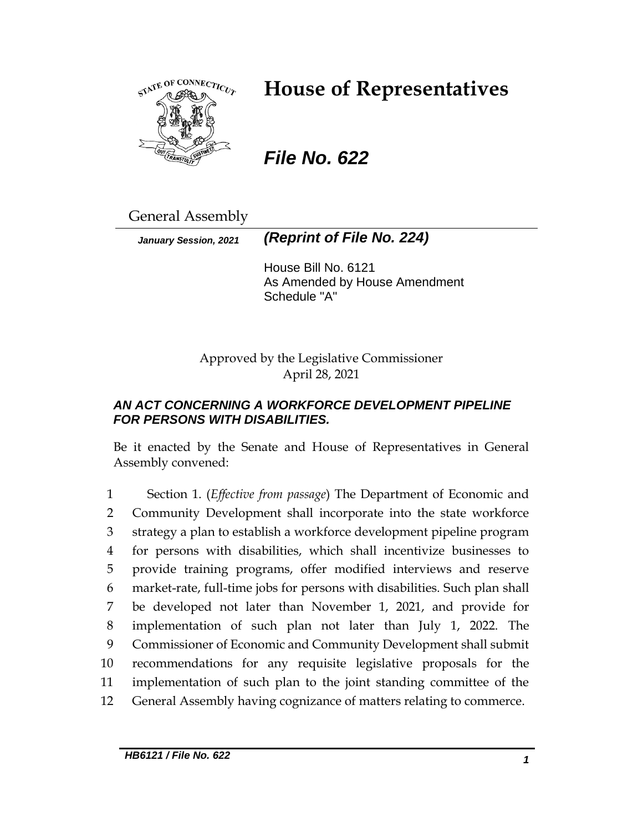

# **House of Representatives**

*File No. 622*

General Assembly

*January Session, 2021 (Reprint of File No. 224)*

House Bill No. 6121 As Amended by House Amendment Schedule "A"

Approved by the Legislative Commissioner April 28, 2021

# *AN ACT CONCERNING A WORKFORCE DEVELOPMENT PIPELINE FOR PERSONS WITH DISABILITIES.*

Be it enacted by the Senate and House of Representatives in General Assembly convened:

 Section 1. (*Effective from passage*) The Department of Economic and Community Development shall incorporate into the state workforce strategy a plan to establish a workforce development pipeline program for persons with disabilities, which shall incentivize businesses to provide training programs, offer modified interviews and reserve market-rate, full-time jobs for persons with disabilities. Such plan shall be developed not later than November 1, 2021, and provide for implementation of such plan not later than July 1, 2022. The Commissioner of Economic and Community Development shall submit recommendations for any requisite legislative proposals for the implementation of such plan to the joint standing committee of the General Assembly having cognizance of matters relating to commerce.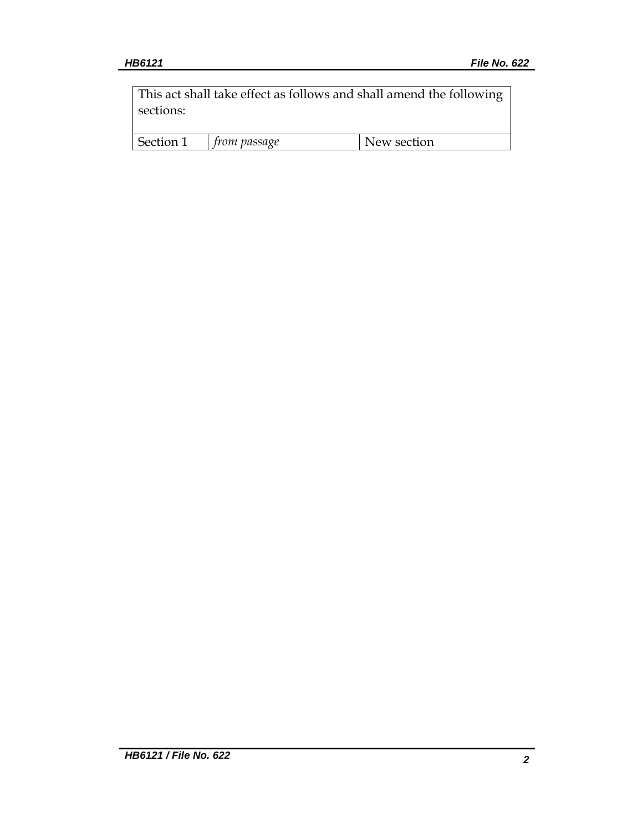This act shall take effect as follows and shall amend the following sections:

|  | Section 1<br>trom nassage | ew section |
|--|---------------------------|------------|
|--|---------------------------|------------|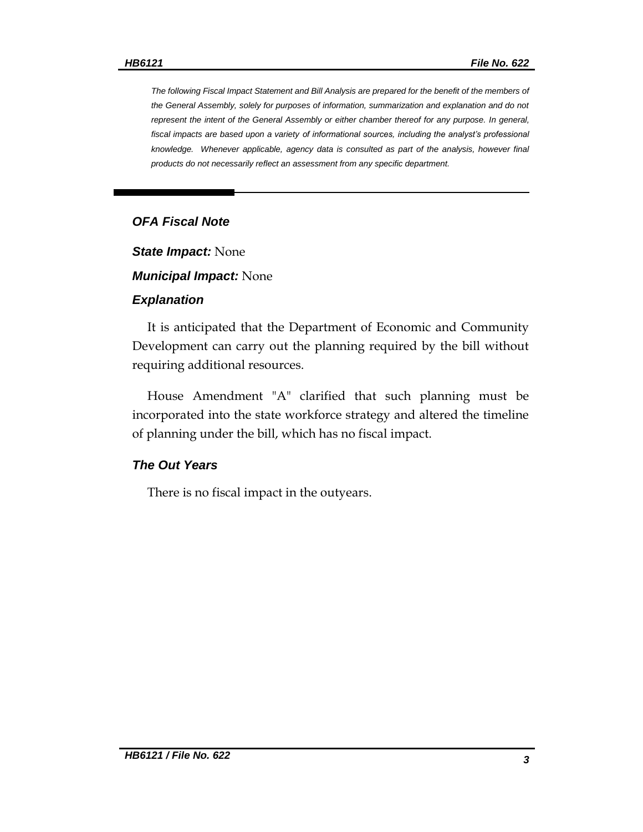*The following Fiscal Impact Statement and Bill Analysis are prepared for the benefit of the members of the General Assembly, solely for purposes of information, summarization and explanation and do not represent the intent of the General Assembly or either chamber thereof for any purpose. In general,*  fiscal impacts are based upon a variety of informational sources, including the analyst's professional *knowledge. Whenever applicable, agency data is consulted as part of the analysis, however final products do not necessarily reflect an assessment from any specific department.*

### *OFA Fiscal Note*

*State Impact:* None

*Municipal Impact:* None

#### *Explanation*

It is anticipated that the Department of Economic and Community Development can carry out the planning required by the bill without requiring additional resources.

House Amendment "A" clarified that such planning must be incorporated into the state workforce strategy and altered the timeline of planning under the bill, which has no fiscal impact.

#### *The Out Years*

There is no fiscal impact in the outyears.